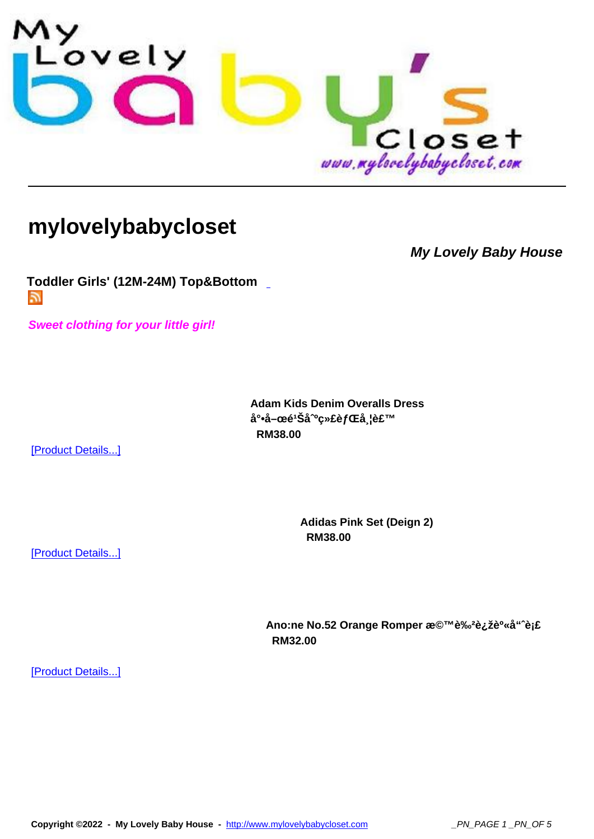

## **[mylovelybabycloset](http://www.mylovelybabycloset.com)**

**My Lovely Baby House**

**Toddler Girls' (12M-24M) Top&Bottom**  m.

**[Sweet clothing for your little girl!](index.php?option=com_virtuemart&page=shop.feed&category_id=9)**

**Adam Kids Denim Overalls Dress** å°•å-œé<sup>1</sup>Šå<sup>o</sup>绣èfŒå l裙  **RM38.00** 

[Product Details...]

[Product Details...]

**Adidas Pink Set (Deign 2) RM38.00** 

Ano:ne No.52 Orange Romper æ©™è‰<sup>2</sup>连è<sup>o</sup>«å"^èj£  **RM32.00**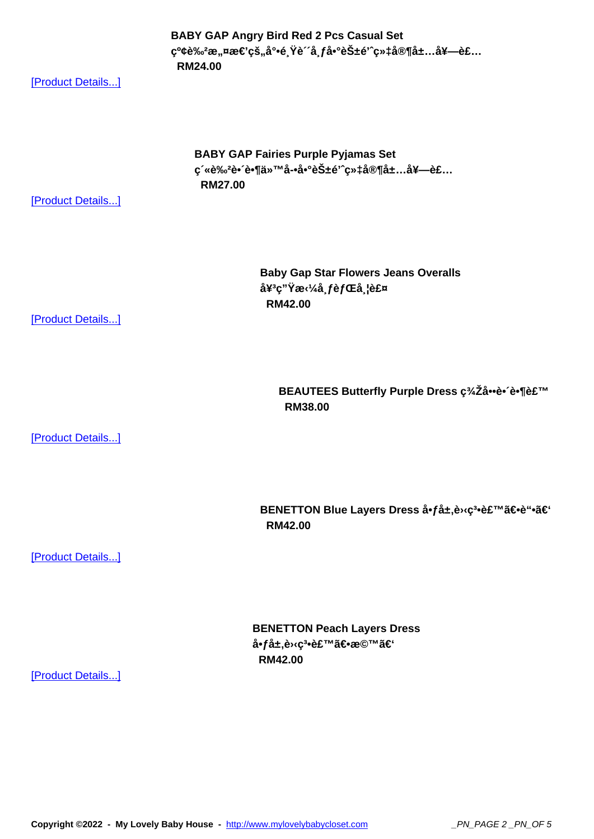ç°¢e‰∻æ"¤æ<del>∈</del> çs"a •e¸ re a¸*j* a•`eS±e ç»‡a®¶a±…a<del>≠—</del>e£…  **RM24.00** 

[Product Details...]

**BABY GAP Fairies Purple Pyjamas Set** ç´«è‰<del>2è•´è•¶ä</del>»™å-•啰花é'^织家居套装  **RM27.00** 

[Product Details...]

**Baby Gap Star Flowers Jeans Overalls** å¥<sup>3</sup>ç"Ÿæ‹¼å¸*f*背带裤  **RM42.00** 

[Product Details...]

**BEAUTEES Butterfly Purple Dress c34Za\*e\* e\*¶e£™ RM38.00** 

[Product Details...]

BENETTON Blue Layers Dress å•få±,è<sup>1</sup> (ç<sup>3</sup>•裙〕è"•ã€'  **RM42.00** 

[Product Details...]

**BENETTON Peach Layers Dress** å•få±,è<sub>᠈</sub><ç<sup>3</sup>•裙〕橙】  **RM42.00**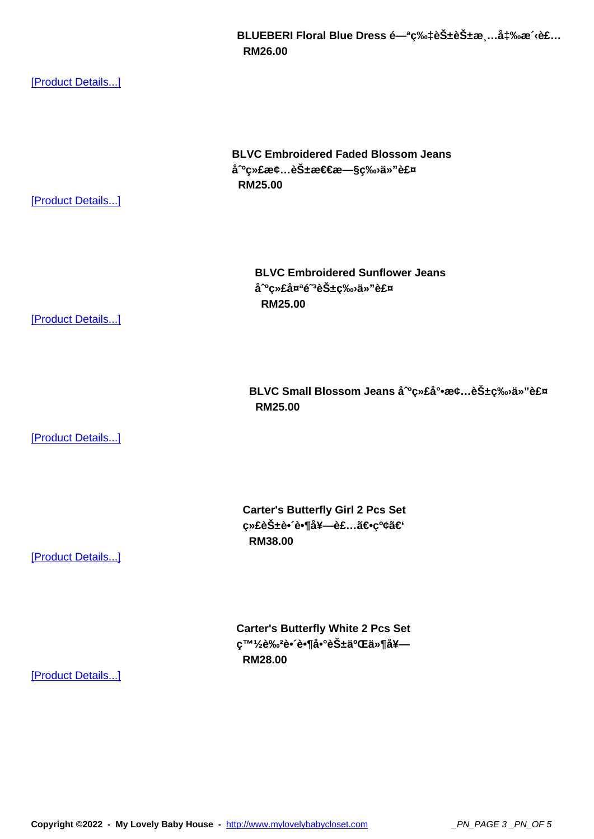## **RM26.00**

[Product Details...]

**BLVC Embroidered Faded Blossom Jeans** å<sup>^o</sup>绣æ¢...花怀æ—§ç‰<sub>'</sub>ä»"裤  **RM25.00** 

[Product Details...]

**BLVC Embroidered Sunflower Jeans**  $a^o$ cȣå¤<sup>a</sup>é~a花c‰ä»"裤  **RM25.00** 

[Product Details...]

BLVC Small Blossom Jeans å<sup>o</sup>c»£å°•æ¢...花ç‰ä»"裤  **RM25.00** 

[Product Details...]

**Carter's Butterfly Girl 2 Pcs Set** 绣花蕴蕶套è£...〕ç<sup>o</sup>¢ã€'  **RM38.00** 

[Product Details...]

**Carter's Butterfly White 2 Pcs Set** 發è‰<del>2è• e•¶å•°èб二ä»¶å¥</del>—  **RM28.00**